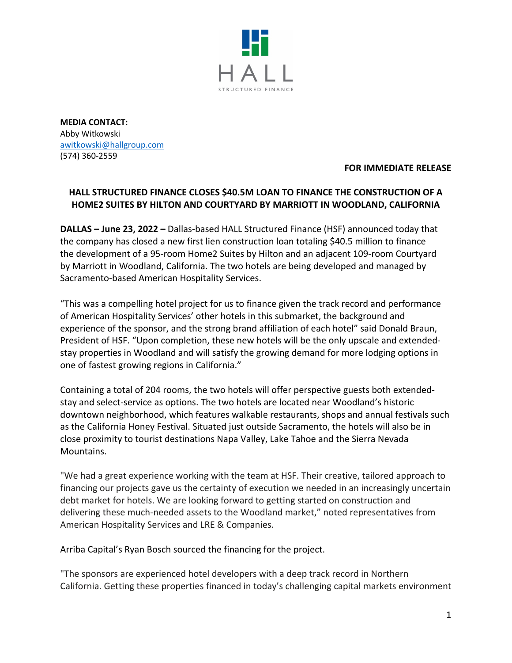

**MEDIA CONTACT:**  Abby Witkowski awitkowski@hallgroup.com (574) 360-2559

## **FOR IMMEDIATE RELEASE**

## **HALL STRUCTURED FINANCE CLOSES \$40.5M LOAN TO FINANCE THE CONSTRUCTION OF A HOME2 SUITES BY HILTON AND COURTYARD BY MARRIOTT IN WOODLAND, CALIFORNIA**

**DALLAS – June 23, 2022 –** Dallas-based HALL Structured Finance (HSF) announced today that the company has closed a new first lien construction loan totaling \$40.5 million to finance the development of a 95-room Home2 Suites by Hilton and an adjacent 109-room Courtyard by Marriott in Woodland, California. The two hotels are being developed and managed by Sacramento-based American Hospitality Services.

"This was a compelling hotel project for us to finance given the track record and performance of American Hospitality Services' other hotels in this submarket, the background and experience of the sponsor, and the strong brand affiliation of each hotel" said Donald Braun, President of HSF. "Upon completion, these new hotels will be the only upscale and extendedstay properties in Woodland and will satisfy the growing demand for more lodging options in one of fastest growing regions in California."

Containing a total of 204 rooms, the two hotels will offer perspective guests both extendedstay and select-service as options. The two hotels are located near Woodland's historic downtown neighborhood, which features walkable restaurants, shops and annual festivals such as the California Honey Festival. Situated just outside Sacramento, the hotels will also be in close proximity to tourist destinations Napa Valley, Lake Tahoe and the Sierra Nevada Mountains.

"We had a great experience working with the team at HSF. Their creative, tailored approach to financing our projects gave us the certainty of execution we needed in an increasingly uncertain debt market for hotels. We are looking forward to getting started on construction and delivering these much-needed assets to the Woodland market," noted representatives from American Hospitality Services and LRE & Companies.

Arriba Capital's Ryan Bosch sourced the financing for the project.

"The sponsors are experienced hotel developers with a deep track record in Northern California. Getting these properties financed in today's challenging capital markets environment